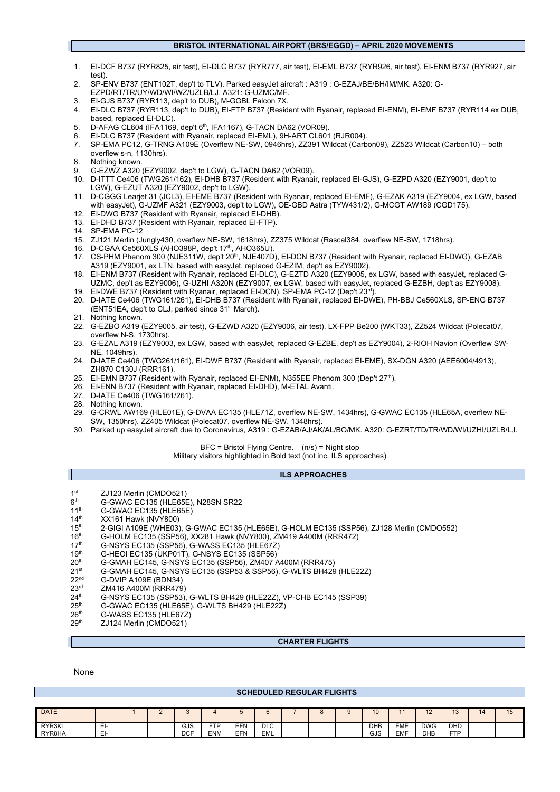# **BRISTOL INTERNATIONAL AIRPORT (BRS/EGGD) – APRIL 2020 MOVEMENTS**

- 1. EI-DCF B737 (RYR825, air test), EI-DLC B737 (RYR777, air test), EI-EML B737 (RYR926, air test), EI-ENM B737 (RYR927, air test).
- 2. SP-ENV B737 (ENT102T, dep't to TLV). Parked easyJet aircraft : A319 : G-EZAJ/BE/BH/IM/MK. A320: G-
- EZPD/RT/TR/UY/WD/WI/WZ/UZLB/LJ. A321: G-UZMC/MF.
- 3. EI-GJS B737 (RYR113, dep't to DUB), M-GGBL Falcon 7X.
- 4. EI-DLC B737 (RYR113, dep't to DUB), EI-FTP B737 (Resident with Ryanair, replaced EI-ENM), EI-EMF B737 (RYR114 ex DUB, based, replaced EI-DLC).
- 5. D-AFAG CL604 (IFA1169, dep't 6<sup>th</sup>, IFA1167), G-TACN DA62 (VOR09).
- 6. EI-DLC B737 (Resident with Ryanair, replaced EI-EML), 9H-ART CL601 (RJR004).
- 7. SP-EMA PC12, G-TRNG A109E (Overflew NE-SW, 0946hrs), ZZ391 Wildcat (Carbon09), ZZ523 Wildcat (Carbon10) both overflew s-n, 1130hrs).
- 8. Nothing known.
- 9. G-EZWZ A320 (EZY9002, dep't to LGW), G-TACN DA62 (VOR09).
- 10. D-ITTT Ce406 (TWG261/162), EI-DHB B737 (Resident with Ryanair, replaced EI-GJS), G-EZPD A320 (EZY9001, dep't to LGW), G-EZUT A320 (EZY9002, dep't to LGW).
- 11. D-CGGG Learjet 31 (JCL3), EI-EME B737 (Resident with Ryanair, replaced EI-EMF), G-EZAK A319 (EZY9004, ex LGW, based with easyJet), G-UZMF A321 (EZY9003, dep't to LGW), OE-GBD Astra (TYW431/2), G-MCGT AW189 (CGD175).
- 12. EI-DWG B737 (Resident with Ryanair, replaced EI-DHB).
- 13. EI-DHD B737 (Resident with Ryanair, replaced EI-FTP).
- 14. SP-EMA PC-12
- 15. ZJ121 Merlin (Jungly430, overflew NE-SW, 1618hrs), ZZ375 Wildcat (Rascal384, overflew NE-SW, 1718hrs).
- 16. D-CGAA Ce560XLS (AHO398P, dep't 17<sup>th</sup>, AHO365U).
- 17. CS-PHM Phenom 300 (NJE311W, dep't 20<sup>th</sup>, NJE407D), EI-DCN B737 (Resident with Ryanair, replaced EI-DWG), G-EZAB A319 (EZY9001, ex LTN, based with easyJet, replaced G-EZIM, dep't as EZY9002).
- 18. EI-ENM B737 (Resident with Ryanair, replaced EI-DLC), G-EZTD A320 (EZY9005, ex LGW, based with easyJet, replaced G-UZMC, dep't as EZY9006), G-UZHI A320N (EZY9007, ex LGW, based with easyJet, replaced G-EZBH, dep't as EZY9008).
- 19. EI-DWE B737 (Resident with Ryanair, replaced EI-DCN), SP-EMA PC-12 (Dep't 23<sup>rd</sup>) 20. D-IATE Ce406 (TWG161/261), EI-DHB B737 (Resident with Ryanair, replaced EI-DWE), PH-BBJ Ce560XLS, SP-ENG B737 (ENT51EA, dep't to CLJ, parked since 31<sup>st</sup> March).
- 21. Nothing known.
- 22. G-EZBO A319 (EZY9005, air test), G-EZWD A320 (EZY9006, air test), LX-FPP Be200 (WKT33), ZZ524 Wildcat (Polecat07, overflew N-S, 1730hrs).
- 23. G-EZAL A319 (EZY9003, ex LGW, based with easyJet, replaced G-EZBE, dep't as EZY9004), 2-RIOH Navion (Overflew SW-NE, 1049hrs).
- 24. D-IATE Ce406 (TWG261/161), EI-DWF B737 (Resident with Ryanair, replaced EI-EME), SX-DGN A320 (AEE6004/4913),
- ZH870 C130J (RRR161). 25. EI-EMN B737 (Resident with Ryanair, replaced EI-ENM), N355EE Phenom 300 (Dep't 27th).
- 
- 26. EI-ENN B737 (Resident with Ryanair, replaced EI-DHD), M-ETAL Avanti.
- 27. D-IATE Ce406 (TWG161/261).
- 28. Nothing known.
- 29. G-CRWL AW169 (HLE01E), G-DVAA EC135 (HLE71Z, overflew NE-SW, 1434hrs), G-GWAC EC135 (HLE65A, overflew NE-SW, 1350hrs), ZZ405 Wildcat (Polecat07, overflew NE-SW, 1348hrs).
- 30. Parked up easyJet aircraft due to Coronavirus, A319 : G-EZAB/AJ/AK/AL/BO/MK. A320: G-EZRT/TD/TR/WD/WI/UZHI/UZLB/LJ.

## BFC = Bristol Flying Centre. (n/s) = Night stop

Military visitors highlighted in Bold text (not inc. ILS approaches)

### **ILS APPROACHES**

- $1<sup>st</sup>$  ZJ123 Merlin (CMDO521)<br> $6<sup>th</sup>$  G-GWAC FC135 (HLF65E
- $6<sup>th</sup>$  G-GWAC EC135 (HLE65E), N28SN SR22<br>11<sup>th</sup> G-GWAC EC135 (HLE65E)
- 11<sup>th</sup> G-GWAC EC135 (HLE65E)<br>14<sup>th</sup> XX161 Hawk (NVY800)
- $14^{th}$  XX161 Hawk (NVY800)<br> $15^{th}$  2-GIGI A109E (WHE03)
- 15<sup>th</sup> 2-GIGI A109E (WHE03), G-GWAC EC135 (HLE65E), G-HOLM EC135 (SSP56), ZJ128 Merlin (CMDO552)<br>16<sup>th</sup> G-HOLM EC135 (SSP56), XX281 Hawk (NVY800), ZM419 A400M (RRR472)
- 16<sup>th</sup> G-HOLM EC135 (SSP56), XX281 Hawk (NVY800), ZM419 A400M (RRR472)<br>17<sup>th</sup> G-NSYS EC135 (SSP56), G-WASS EC135 (HLE67Z)
- 17<sup>th</sup> G-NSYS EC135 (SSP56), G-WASS EC135 (HLE67Z)<br>19<sup>th</sup> G-HEOI EC135 (UKP01T), G-NSYS EC135 (SSP56)
- 19<sup>th</sup> G-HEOI EC135 (UKP01T), G-NSYS EC135 (SSP56)<br>20<sup>th</sup> G-GMAH EC145, G-NSYS EC135 (SSP56), ZM407
- 20<sup>th</sup> G-GMAH EC145, G-NSYS EC135 (SSP56), ZM407 A400M (RRR475)<br>21<sup>st</sup> G-GMAH EC145, G-NSYS EC135 (SSP53 & SSP56), G-WLTS BH429
- 21st G-GMAH EC145, G-NSYS EC135 (SSP53 & SSP56), G-WLTS BH429 (HLE22Z)<br>22<sup>nd</sup> G-DVIP A109E (BDN34)
- $22^{nd}$  G-DVIP A109E (BDN34)<br> $23^{rd}$  ZM416 A400M (RRR479
- $23^{rd}$  ZM416 A400M (RRR479)<br> $24^{th}$  G-NSYS EC135 (SSP53).
- $24<sup>th</sup>$  G-NSYS EC135 (SSP53), G-WLTS BH429 (HLE22Z), VP-CHB EC145 (SSP39)<br> $25<sup>th</sup>$  G-GWAC EC135 (HLE65E), G-WLTS BH429 (HLE22Z)
- $25<sup>th</sup>$  G-GWAC EC135 (HLE65E), G-WLTS BH429 (HLE22Z)<br> $26<sup>th</sup>$  G-WASS EC135 (HLE67Z)
- $26<sup>th</sup>$  G-WASS EC135 (HLE67Z)<br> $29<sup>th</sup>$  ZJ124 Merlin (CMDO521)
- ZJ124 Merlin (CMDO521)

#### **CHARTER FLIGHTS**

#### None

L

|                  | <b>SCHEDULED REGULAR FLIGHTS</b> |  |        |                   |                   |            |                          |  |  |   |            |                          |                          |                          |    |    |
|------------------|----------------------------------|--|--------|-------------------|-------------------|------------|--------------------------|--|--|---|------------|--------------------------|--------------------------|--------------------------|----|----|
|                  |                                  |  |        |                   |                   |            |                          |  |  |   |            |                          |                          |                          |    |    |
| <b>DATE</b>      |                                  |  | $\sim$ | $\sim$            |                   |            |                          |  |  | O | 10         | 11                       | 12<br>Z                  | $\sim$<br>ּט             | 14 | 15 |
| RYR3KL<br>RYR8HA | $\blacksquare$<br>비<br>EI-       |  |        | GJS<br><b>DCF</b> | FTP<br><b>ENM</b> | EFN<br>EFN | <b>DLC</b><br><b>EML</b> |  |  |   | DHB<br>GJS | <b>EME</b><br><b>EMF</b> | <b>DWG</b><br><b>DHB</b> | <b>DHD</b><br><b>FTP</b> |    |    |